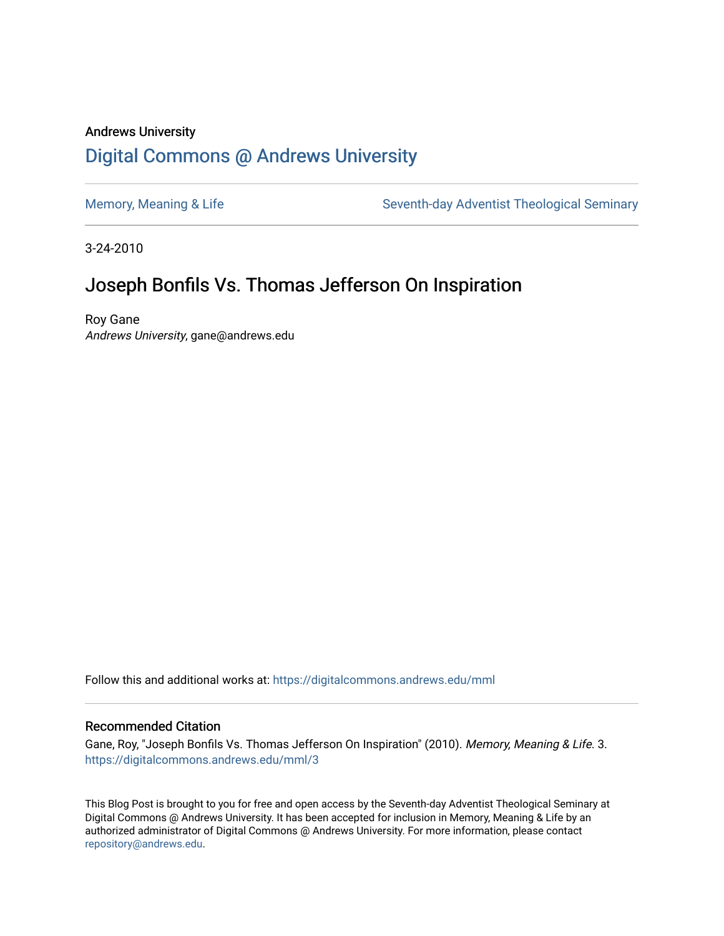### Andrews University [Digital Commons @ Andrews University](https://digitalcommons.andrews.edu/)

[Memory, Meaning & Life](https://digitalcommons.andrews.edu/mml) Seventh-day Adventist Theological Seminary

3-24-2010

## Joseph Bonfils Vs. Thomas Jefferson On Inspiration

Roy Gane Andrews University, gane@andrews.edu

Follow this and additional works at: [https://digitalcommons.andrews.edu/mml](https://digitalcommons.andrews.edu/mml?utm_source=digitalcommons.andrews.edu%2Fmml%2F3&utm_medium=PDF&utm_campaign=PDFCoverPages) 

#### Recommended Citation

Gane, Roy, "Joseph Bonfils Vs. Thomas Jefferson On Inspiration" (2010). Memory, Meaning & Life. 3. [https://digitalcommons.andrews.edu/mml/3](https://digitalcommons.andrews.edu/mml/3?utm_source=digitalcommons.andrews.edu%2Fmml%2F3&utm_medium=PDF&utm_campaign=PDFCoverPages) 

This Blog Post is brought to you for free and open access by the Seventh-day Adventist Theological Seminary at Digital Commons @ Andrews University. It has been accepted for inclusion in Memory, Meaning & Life by an authorized administrator of Digital Commons @ Andrews University. For more information, please contact [repository@andrews.edu](mailto:repository@andrews.edu).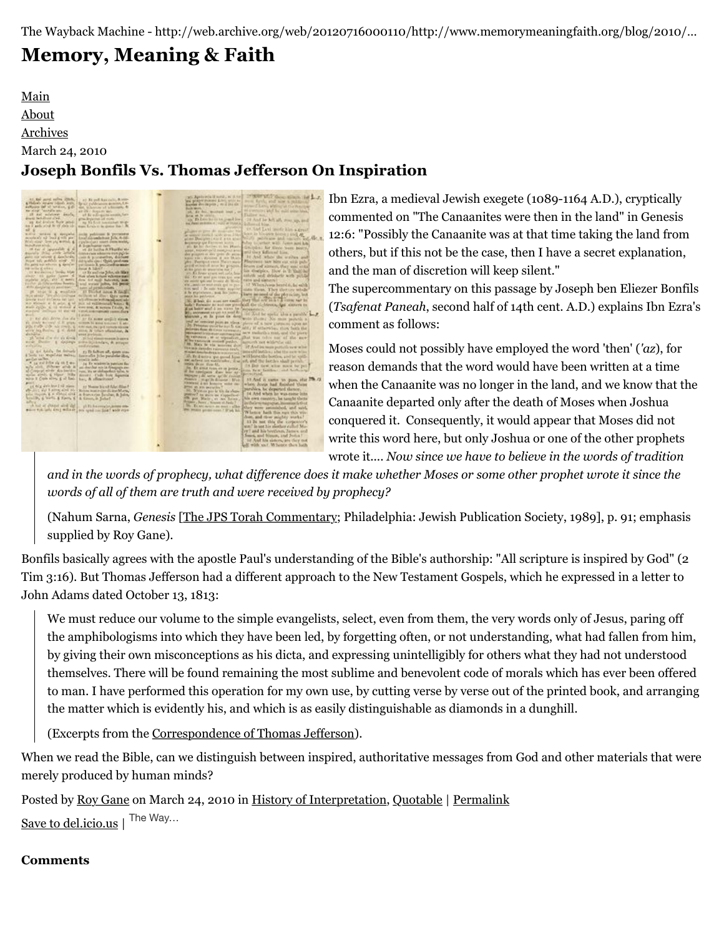The Wayback Machine - http://web.archive.org/web/20120716000110/http://www.memorymeaningfaith.org/blog/2010/…

# **[Memory, Meaning & Faith](http://web.archive.org/web/20120716000110/http://www.memorymeaningfaith.org/blog/)**

[Main](http://web.archive.org/web/20120716000110/http://www.memorymeaningfaith.org/blog) [About](http://web.archive.org/web/20120716000110/http://www.memorymeaningfaith.org/blog/about.html) [Archives](http://web.archive.org/web/20120716000110/http://www.memorymeaningfaith.org/blog/archives.html) March 24, 2010

### **Joseph Bonfils Vs. Thomas Jefferson On Inspiration**



Ibn Ezra, a medieval Jewish exegete (1089-1164 A.D.), cryptically commented on "The Canaanites were then in the land" in Genesis 12:6: "Possibly the Canaanite was at that time taking the land from others, but if this not be the case, then I have a secret explanation, and the man of discretion will keep silent."

The supercommentary on this passage by Joseph ben Eliezer Bonfils (*Tsafenat Paneah*, second half of 14th cent. A.D.) explains Ibn Ezra's comment as follows:

Moses could not possibly have employed the word 'then' (*'az*), for reason demands that the word would have been written at a time when the Canaanite was no longer in the land, and we know that the Canaanite departed only after the death of Moses when Joshua conquered it. Consequently, it would appear that Moses did not write this word here, but only Joshua or one of the other prophets wrote it.... *Now since we have to believe in the words of tradition*

*and in the words of prophecy, what difference does it make whether Moses or some other prophet wrote it since the words of all of them are truth and were received by prophecy?*

(Nahum Sarna, *Genesis* [[The JPS Torah Commentary](http://web.archive.org/web/20120716000110/http://books.google.com/books?id=5M7YAAAAMAAJ); Philadelphia: Jewish Publication Society, 1989], p. 91; emphasis supplied by Roy Gane).

Bonfils basically agrees with the apostle Paul's understanding of the Bible's authorship: "All scripture is inspired by God" (2 Tim 3:16). But Thomas Jefferson had a different approach to the New Testament Gospels, which he expressed in a letter to John Adams dated October 13, 1813:

We must reduce our volume to the simple evangelists, select, even from them, the very words only of Jesus, paring off the amphibologisms into which they have been led, by forgetting often, or not understanding, what had fallen from him, by giving their own misconceptions as his dicta, and expressing unintelligibly for others what they had not understood themselves. There will be found remaining the most sublime and benevolent code of morals which has ever been offered to man. I have performed this operation for my own use, by cutting verse by verse out of the printed book, and arranging the matter which is evidently his, and which is as easily distinguishable as diamonds in a dunghill.

(Excerpts from the [Correspondence of Thomas Jefferson\)](http://web.archive.org/web/20120716000110/http://www.cooperativeindividualism.org/jefferson_m_03.html).

When we read the Bible, can we distinguish between inspired, authoritative messages from God and other materials that were merely produced by human minds?

Posted by [Roy Gane](http://web.archive.org/web/20120716000110/http://profile.typepad.com/rgane) on March 24, 2010 in [History of Interpretation](http://web.archive.org/web/20120716000110/http://www.memorymeaningfaith.org/blog/history-of-interpretation/), [Quotable](http://web.archive.org/web/20120716000110/http://www.memorymeaningfaith.org/blog/sources/) | [Permalink](http://web.archive.org/web/20120716000110/http://www.memorymeaningfaith.org/blog/2010/03/joseph-bonfils-vs-thomas-jefferson-on-inspiration.html) [Save to del.icio.us](http://web.archive.org/web/20120716000110/http://del.icio.us/post) | The Way...

#### **Comments**